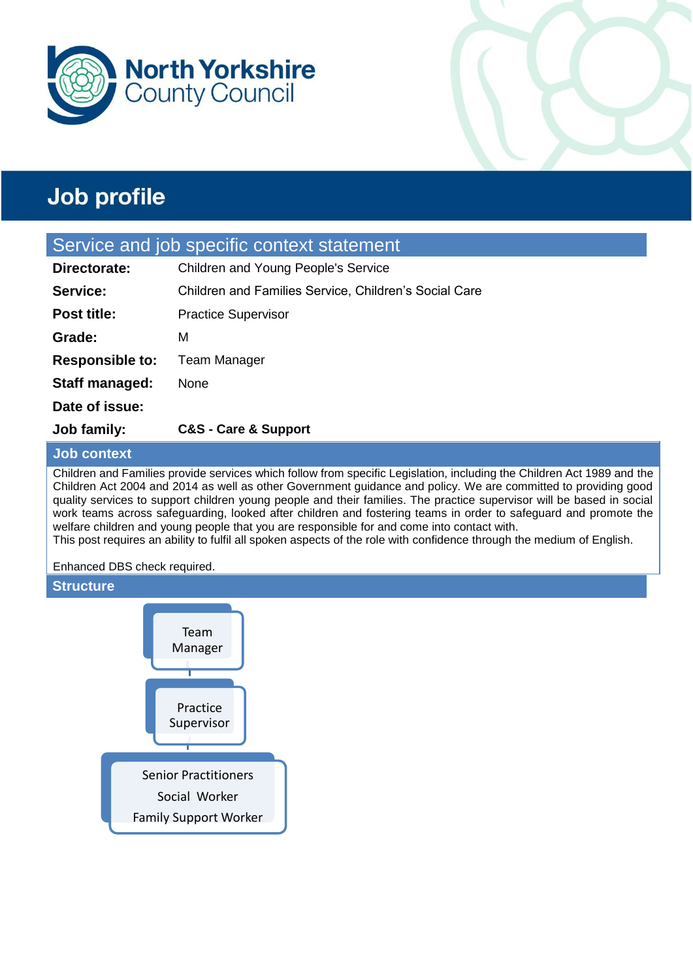



#### Service and job specific context statement

| Job family:            | <b>C&amp;S - Care &amp; Support</b>                          |
|------------------------|--------------------------------------------------------------|
| Date of issue:         |                                                              |
| Staff managed:         | None                                                         |
| <b>Responsible to:</b> | Team Manager                                                 |
| Grade:                 | м                                                            |
| <b>Post title:</b>     | <b>Practice Supervisor</b>                                   |
| Service:               | <b>Children and Families Service, Children's Social Care</b> |
| Directorate:           | Children and Young People's Service                          |

#### **Job context**

Children and Families provide services which follow from specific Legislation, including the Children Act 1989 and the Children Act 2004 and 2014 as well as other Government guidance and policy. We are committed to providing good quality services to support children young people and their families. The practice supervisor will be based in social work teams across safeguarding, looked after children and fostering teams in order to safeguard and promote the welfare children and young people that you are responsible for and come into contact with.

This post requires an ability to fulfil all spoken aspects of the role with confidence through the medium of English.

Enhanced DBS check required.

#### **Structure**

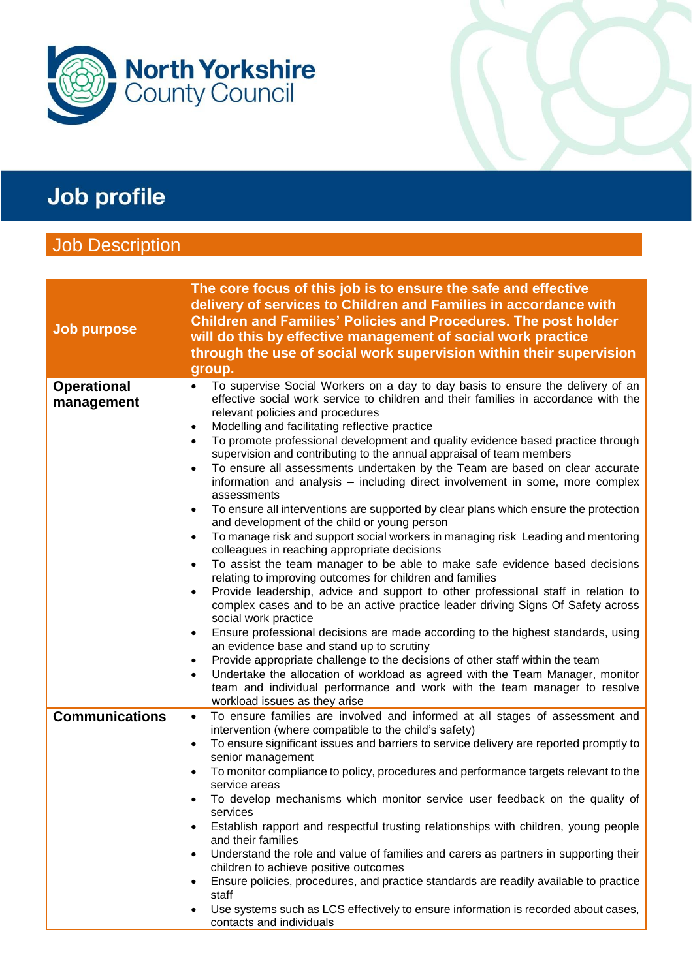

## **Job Description**

| <b>Job purpose</b>               | The core focus of this job is to ensure the safe and effective<br>delivery of services to Children and Families in accordance with<br><b>Children and Families' Policies and Procedures. The post holder</b><br>will do this by effective management of social work practice<br>through the use of social work supervision within their supervision                                                                                                                                                                                                                                                                                                                                                                                                                                                                                                                                                                                                                                                                                                                                                                                                                                                                                                                                                                                                                                                                                                                                                                                                                                                                                                                                                                                                          |
|----------------------------------|--------------------------------------------------------------------------------------------------------------------------------------------------------------------------------------------------------------------------------------------------------------------------------------------------------------------------------------------------------------------------------------------------------------------------------------------------------------------------------------------------------------------------------------------------------------------------------------------------------------------------------------------------------------------------------------------------------------------------------------------------------------------------------------------------------------------------------------------------------------------------------------------------------------------------------------------------------------------------------------------------------------------------------------------------------------------------------------------------------------------------------------------------------------------------------------------------------------------------------------------------------------------------------------------------------------------------------------------------------------------------------------------------------------------------------------------------------------------------------------------------------------------------------------------------------------------------------------------------------------------------------------------------------------------------------------------------------------------------------------------------------------|
|                                  | group.                                                                                                                                                                                                                                                                                                                                                                                                                                                                                                                                                                                                                                                                                                                                                                                                                                                                                                                                                                                                                                                                                                                                                                                                                                                                                                                                                                                                                                                                                                                                                                                                                                                                                                                                                       |
| <b>Operational</b><br>management | To supervise Social Workers on a day to day basis to ensure the delivery of an<br>effective social work service to children and their families in accordance with the<br>relevant policies and procedures<br>Modelling and facilitating reflective practice<br>$\bullet$<br>To promote professional development and quality evidence based practice through<br>$\bullet$<br>supervision and contributing to the annual appraisal of team members<br>To ensure all assessments undertaken by the Team are based on clear accurate<br>$\bullet$<br>information and analysis – including direct involvement in some, more complex<br>assessments<br>To ensure all interventions are supported by clear plans which ensure the protection<br>and development of the child or young person<br>To manage risk and support social workers in managing risk Leading and mentoring<br>$\bullet$<br>colleagues in reaching appropriate decisions<br>To assist the team manager to be able to make safe evidence based decisions<br>$\bullet$<br>relating to improving outcomes for children and families<br>Provide leadership, advice and support to other professional staff in relation to<br>$\bullet$<br>complex cases and to be an active practice leader driving Signs Of Safety across<br>social work practice<br>Ensure professional decisions are made according to the highest standards, using<br>$\bullet$<br>an evidence base and stand up to scrutiny<br>Provide appropriate challenge to the decisions of other staff within the team<br>٠<br>Undertake the allocation of workload as agreed with the Team Manager, monitor<br>$\bullet$<br>team and individual performance and work with the team manager to resolve<br>workload issues as they arise |
| <b>Communications</b>            | To ensure families are involved and informed at all stages of assessment and<br>$\bullet$                                                                                                                                                                                                                                                                                                                                                                                                                                                                                                                                                                                                                                                                                                                                                                                                                                                                                                                                                                                                                                                                                                                                                                                                                                                                                                                                                                                                                                                                                                                                                                                                                                                                    |
|                                  | intervention (where compatible to the child's safety)                                                                                                                                                                                                                                                                                                                                                                                                                                                                                                                                                                                                                                                                                                                                                                                                                                                                                                                                                                                                                                                                                                                                                                                                                                                                                                                                                                                                                                                                                                                                                                                                                                                                                                        |
|                                  | To ensure significant issues and barriers to service delivery are reported promptly to<br>$\bullet$<br>senior management<br>To monitor compliance to policy, procedures and performance targets relevant to the<br>$\bullet$                                                                                                                                                                                                                                                                                                                                                                                                                                                                                                                                                                                                                                                                                                                                                                                                                                                                                                                                                                                                                                                                                                                                                                                                                                                                                                                                                                                                                                                                                                                                 |
|                                  | service areas                                                                                                                                                                                                                                                                                                                                                                                                                                                                                                                                                                                                                                                                                                                                                                                                                                                                                                                                                                                                                                                                                                                                                                                                                                                                                                                                                                                                                                                                                                                                                                                                                                                                                                                                                |
|                                  | To develop mechanisms which monitor service user feedback on the quality of<br>services                                                                                                                                                                                                                                                                                                                                                                                                                                                                                                                                                                                                                                                                                                                                                                                                                                                                                                                                                                                                                                                                                                                                                                                                                                                                                                                                                                                                                                                                                                                                                                                                                                                                      |
|                                  | Establish rapport and respectful trusting relationships with children, young people<br>$\bullet$<br>and their families                                                                                                                                                                                                                                                                                                                                                                                                                                                                                                                                                                                                                                                                                                                                                                                                                                                                                                                                                                                                                                                                                                                                                                                                                                                                                                                                                                                                                                                                                                                                                                                                                                       |
|                                  | Understand the role and value of families and carers as partners in supporting their<br>$\bullet$<br>children to achieve positive outcomes                                                                                                                                                                                                                                                                                                                                                                                                                                                                                                                                                                                                                                                                                                                                                                                                                                                                                                                                                                                                                                                                                                                                                                                                                                                                                                                                                                                                                                                                                                                                                                                                                   |
|                                  | Ensure policies, procedures, and practice standards are readily available to practice<br>$\bullet$<br>staff                                                                                                                                                                                                                                                                                                                                                                                                                                                                                                                                                                                                                                                                                                                                                                                                                                                                                                                                                                                                                                                                                                                                                                                                                                                                                                                                                                                                                                                                                                                                                                                                                                                  |
|                                  | Use systems such as LCS effectively to ensure information is recorded about cases,<br>$\bullet$<br>contacts and individuals                                                                                                                                                                                                                                                                                                                                                                                                                                                                                                                                                                                                                                                                                                                                                                                                                                                                                                                                                                                                                                                                                                                                                                                                                                                                                                                                                                                                                                                                                                                                                                                                                                  |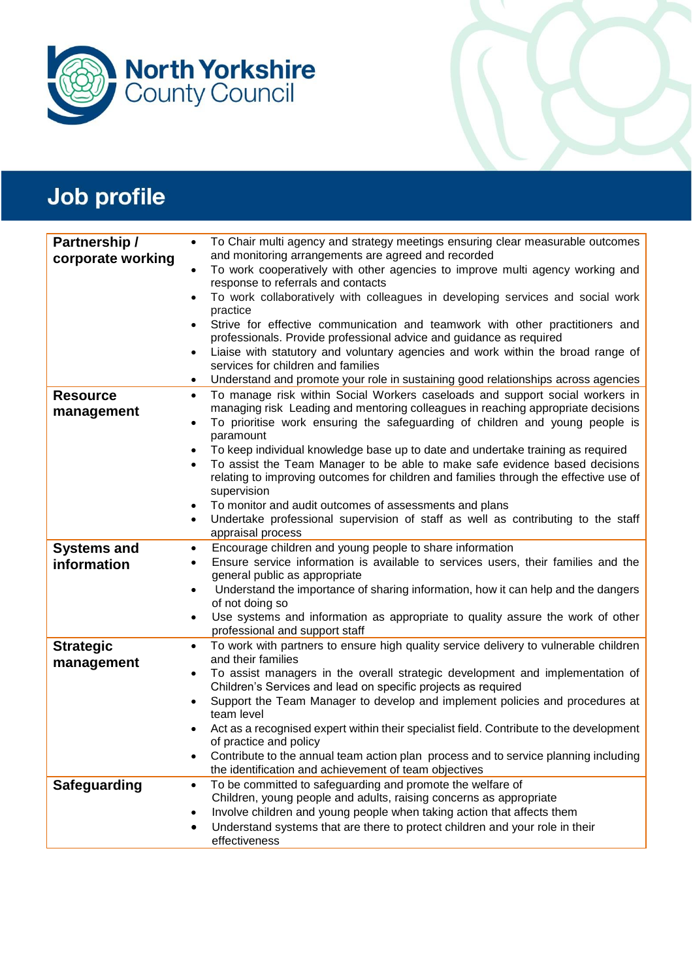

| Partnership /                     | To Chair multi agency and strategy meetings ensuring clear measurable outcomes<br>$\bullet$                                                                                      |  |
|-----------------------------------|----------------------------------------------------------------------------------------------------------------------------------------------------------------------------------|--|
| corporate working                 | and monitoring arrangements are agreed and recorded<br>To work cooperatively with other agencies to improve multi agency working and<br>$\bullet$                                |  |
|                                   | response to referrals and contacts                                                                                                                                               |  |
|                                   | To work collaboratively with colleagues in developing services and social work<br>$\bullet$<br>practice                                                                          |  |
|                                   | Strive for effective communication and teamwork with other practitioners and<br>$\bullet$<br>professionals. Provide professional advice and guidance as required                 |  |
|                                   | Liaise with statutory and voluntary agencies and work within the broad range of<br>$\bullet$<br>services for children and families                                               |  |
|                                   | Understand and promote your role in sustaining good relationships across agencies<br>$\bullet$                                                                                   |  |
| <b>Resource</b>                   | To manage risk within Social Workers caseloads and support social workers in<br>$\bullet$                                                                                        |  |
| management                        | managing risk Leading and mentoring colleagues in reaching appropriate decisions<br>To prioritise work ensuring the safeguarding of children and young people is<br>$\bullet$    |  |
|                                   | paramount                                                                                                                                                                        |  |
|                                   | To keep individual knowledge base up to date and undertake training as required<br>$\bullet$                                                                                     |  |
|                                   | To assist the Team Manager to be able to make safe evidence based decisions<br>$\bullet$                                                                                         |  |
|                                   | relating to improving outcomes for children and families through the effective use of<br>supervision                                                                             |  |
|                                   | To monitor and audit outcomes of assessments and plans<br>$\bullet$                                                                                                              |  |
|                                   | Undertake professional supervision of staff as well as contributing to the staff<br>$\bullet$                                                                                    |  |
|                                   | appraisal process                                                                                                                                                                |  |
| <b>Systems and</b><br>information | Encourage children and young people to share information<br>$\bullet$<br>Ensure service information is available to services users, their families and the<br>$\bullet$          |  |
|                                   | general public as appropriate                                                                                                                                                    |  |
|                                   | Understand the importance of sharing information, how it can help and the dangers<br>$\bullet$                                                                                   |  |
|                                   |                                                                                                                                                                                  |  |
|                                   | of not doing so                                                                                                                                                                  |  |
|                                   | Use systems and information as appropriate to quality assure the work of other<br>٠                                                                                              |  |
| <b>Strategic</b>                  | professional and support staff<br>To work with partners to ensure high quality service delivery to vulnerable children<br>$\bullet$                                              |  |
| management                        | and their families<br>To assist managers in the overall strategic development and implementation of<br>$\bullet$                                                                 |  |
|                                   | Children's Services and lead on specific projects as required                                                                                                                    |  |
|                                   | Support the Team Manager to develop and implement policies and procedures at<br>$\bullet$<br>team level                                                                          |  |
|                                   | Act as a recognised expert within their specialist field. Contribute to the development                                                                                          |  |
|                                   | of practice and policy                                                                                                                                                           |  |
|                                   | Contribute to the annual team action plan process and to service planning including<br>٠<br>the identification and achievement of team objectives                                |  |
| <b>Safeguarding</b>               | To be committed to safeguarding and promote the welfare of<br>$\bullet$                                                                                                          |  |
|                                   | Children, young people and adults, raising concerns as appropriate                                                                                                               |  |
|                                   | Involve children and young people when taking action that affects them<br>$\bullet$<br>Understand systems that are there to protect children and your role in their<br>$\bullet$ |  |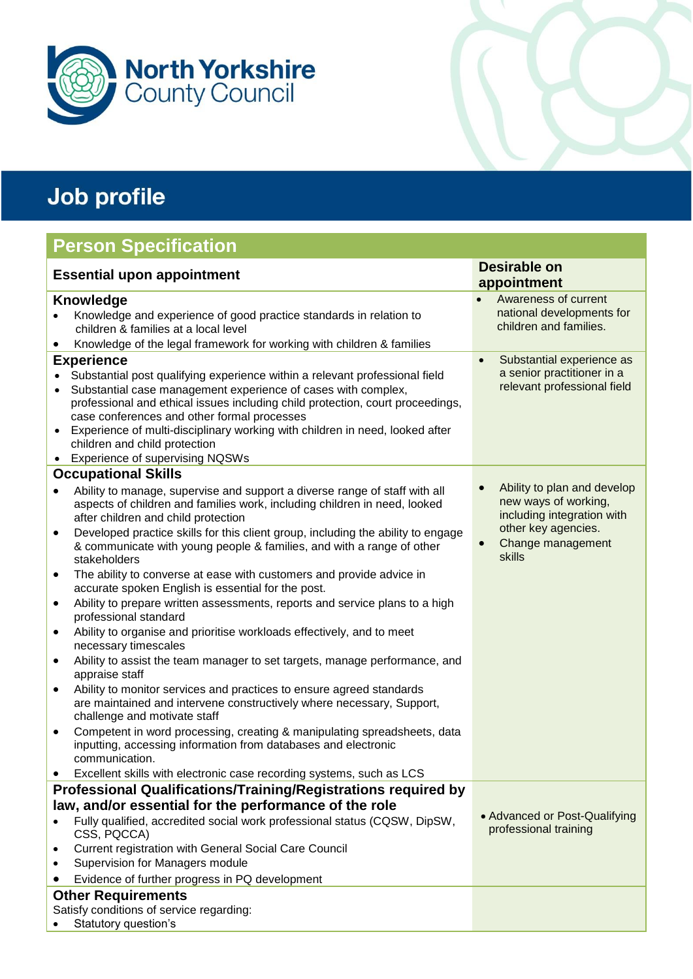

### **Person Specification**

| <b>Essential upon appointment</b>                                                                                                                                                                                                                                                                                                                                                                                                                                                                                                                                                                                                                                                                                            | <b>Desirable on</b>                                                                                                                     |
|------------------------------------------------------------------------------------------------------------------------------------------------------------------------------------------------------------------------------------------------------------------------------------------------------------------------------------------------------------------------------------------------------------------------------------------------------------------------------------------------------------------------------------------------------------------------------------------------------------------------------------------------------------------------------------------------------------------------------|-----------------------------------------------------------------------------------------------------------------------------------------|
|                                                                                                                                                                                                                                                                                                                                                                                                                                                                                                                                                                                                                                                                                                                              | appointment                                                                                                                             |
| <b>Knowledge</b><br>Knowledge and experience of good practice standards in relation to<br>children & families at a local level<br>Knowledge of the legal framework for working with children & families                                                                                                                                                                                                                                                                                                                                                                                                                                                                                                                      | Awareness of current<br>$\bullet$<br>national developments for<br>children and families.                                                |
| <b>Experience</b>                                                                                                                                                                                                                                                                                                                                                                                                                                                                                                                                                                                                                                                                                                            | Substantial experience as<br>$\bullet$                                                                                                  |
| Substantial post qualifying experience within a relevant professional field<br>Substantial case management experience of cases with complex,<br>professional and ethical issues including child protection, court proceedings,<br>case conferences and other formal processes<br>Experience of multi-disciplinary working with children in need, looked after<br>$\bullet$<br>children and child protection<br><b>Experience of supervising NQSWs</b><br>$\bullet$                                                                                                                                                                                                                                                           | a senior practitioner in a<br>relevant professional field                                                                               |
| <b>Occupational Skills</b>                                                                                                                                                                                                                                                                                                                                                                                                                                                                                                                                                                                                                                                                                                   |                                                                                                                                         |
| Ability to manage, supervise and support a diverse range of staff with all<br>aspects of children and families work, including children in need, looked<br>after children and child protection<br>Developed practice skills for this client group, including the ability to engage<br>& communicate with young people & families, and with a range of other<br>stakeholders<br>The ability to converse at ease with customers and provide advice in<br>accurate spoken English is essential for the post.<br>Ability to prepare written assessments, reports and service plans to a high<br>٠<br>professional standard<br>Ability to organise and prioritise workloads effectively, and to meet<br>٠<br>necessary timescales | Ability to plan and develop<br>new ways of working,<br>including integration with<br>other key agencies.<br>Change management<br>skills |
| Ability to assist the team manager to set targets, manage performance, and<br>appraise staff                                                                                                                                                                                                                                                                                                                                                                                                                                                                                                                                                                                                                                 |                                                                                                                                         |
| Ability to monitor services and practices to ensure agreed standards<br>$\bullet$<br>are maintained and intervene constructively where necessary, Support,<br>challenge and motivate staff                                                                                                                                                                                                                                                                                                                                                                                                                                                                                                                                   |                                                                                                                                         |
| Competent in word processing, creating & manipulating spreadsheets, data<br>$\bullet$<br>inputting, accessing information from databases and electronic<br>communication.                                                                                                                                                                                                                                                                                                                                                                                                                                                                                                                                                    |                                                                                                                                         |
| Excellent skills with electronic case recording systems, such as LCS                                                                                                                                                                                                                                                                                                                                                                                                                                                                                                                                                                                                                                                         |                                                                                                                                         |
| <b>Professional Qualifications/Training/Registrations required by</b><br>law, and/or essential for the performance of the role<br>Fully qualified, accredited social work professional status (CQSW, DipSW,<br>CSS, PQCCA)<br>Current registration with General Social Care Council<br>Supervision for Managers module<br>Evidence of further progress in PQ development                                                                                                                                                                                                                                                                                                                                                     | • Advanced or Post-Qualifying<br>professional training                                                                                  |
| <b>Other Requirements</b>                                                                                                                                                                                                                                                                                                                                                                                                                                                                                                                                                                                                                                                                                                    |                                                                                                                                         |
| Satisfy conditions of service regarding:                                                                                                                                                                                                                                                                                                                                                                                                                                                                                                                                                                                                                                                                                     |                                                                                                                                         |
| Statutory question's                                                                                                                                                                                                                                                                                                                                                                                                                                                                                                                                                                                                                                                                                                         |                                                                                                                                         |